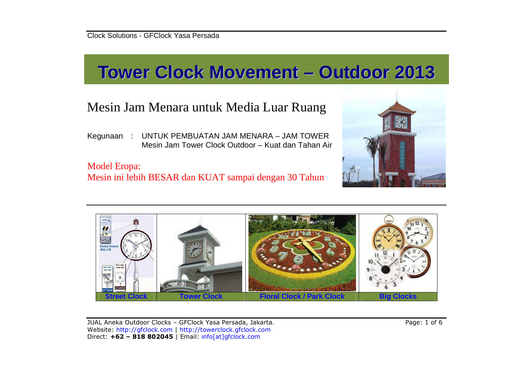# **Tower Clock Movement – Outdoor <sup>2013</sup>**

# Mesin Jam Menara untuk Media Luar Ruang

Kegunaan : UNTUK PEMBUATAN JAM MENARA – JAM TOWER Mesin Jam Tower Clock Outdoor – Kuat dan Tahan Air

## Model Eropa: Mesin ini lebih BESAR dan KUAT sampai dengan 30 Tahun





JUAL Aneka Outdoor Clocks – GFClock Yasa Persada, Jakarta. Page: 1 of 6 Website: http://gfclock.com | http://towerclock.gfclock.comDirect: **+62 – 818 802045** | Email: info[at]gfclock.com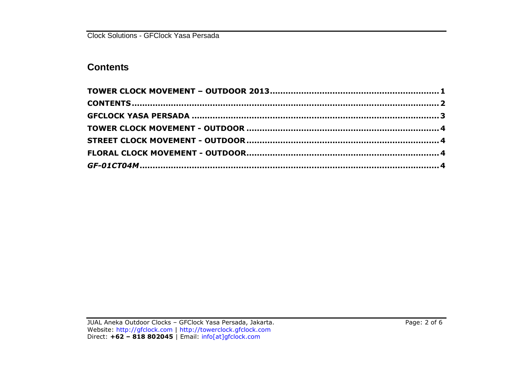Clock Solutions - GFClock Yasa Persada

### **Contents**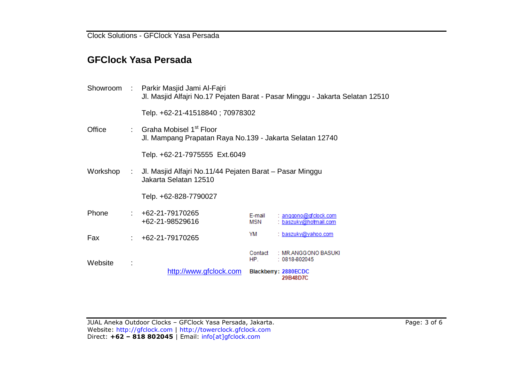Clock Solutions - GFClock Yasa Persada

#### **GFClock Yasa Persada**

| Website  |                           | http://www.gfclock.com                                                                                       |                | Blackberry: 2880ECDC<br>29B48D7C                 |  |  |  |  |  |
|----------|---------------------------|--------------------------------------------------------------------------------------------------------------|----------------|--------------------------------------------------|--|--|--|--|--|
|          |                           |                                                                                                              | Contact<br>HP. | : MR.ANGGONO BASUKI<br>$: 0818 - 802045$         |  |  |  |  |  |
| Fax      |                           | $: +62-21-79170265$                                                                                          | YM             | : baszuky@yahoo.com                              |  |  |  |  |  |
| Phone    |                           | +62-21-79170265<br>+62-21-98529616                                                                           | E-mail<br>MSN  | $:$ anggono@gfclock.com<br>: baszuky@hotmail.com |  |  |  |  |  |
|          |                           | Telp. +62-828-7790027                                                                                        |                |                                                  |  |  |  |  |  |
| Workshop |                           | Jl. Masjid Alfajri No.11/44 Pejaten Barat – Pasar Minggu<br>Jakarta Selatan 12510                            |                |                                                  |  |  |  |  |  |
|          |                           | Telp. +62-21-7975555 Ext.6049                                                                                |                |                                                  |  |  |  |  |  |
| Office   | $\mathbb{Z}^{\mathbb{Z}}$ | Graha Mobisel 1 <sup>st</sup> Floor<br>Jl. Mampang Prapatan Raya No.139 - Jakarta Selatan 12740              |                |                                                  |  |  |  |  |  |
|          |                           | Telp. +62-21-41518840; 70978302                                                                              |                |                                                  |  |  |  |  |  |
| Showroom | $\sim 100$                | Parkir Masjid Jami Al-Fajri<br>Jl. Masjid Alfajri No.17 Pejaten Barat - Pasar Minggu - Jakarta Selatan 12510 |                |                                                  |  |  |  |  |  |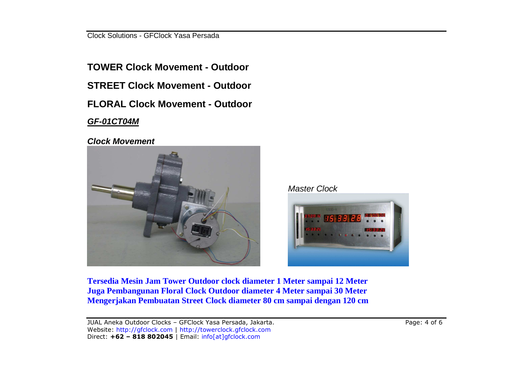Clock Solutions - GFClock Yasa Persada

**TOWER Clock Movement - Outdoor STREET Clock Movement - Outdoor FLORAL Clock Movement - Outdoor GF-01CT04M**

**Clock Movement** 







**Tersedia Mesin Jam Tower Outdoor clock diameter 1 Meter sampai 12 Meter Juga Pembangunan Floral Clock Outdoor diameter 4 Meter sampai 30 Meter Mengerjakan Pembuatan Street Clock diameter 80 cm sampai dengan 120 cm**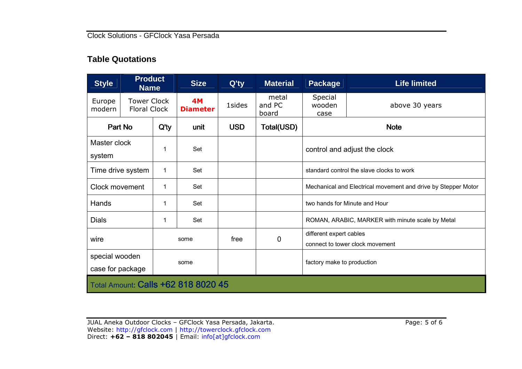#### **Table Quotations**

| <b>Style</b>                        | <b>Product</b><br><b>Name</b>             |         | <b>Size</b>                  | Q'ty       | <b>Material</b>          | <b>Package</b>                                                | <b>Life limited</b> |  |  |
|-------------------------------------|-------------------------------------------|---------|------------------------------|------------|--------------------------|---------------------------------------------------------------|---------------------|--|--|
| Europe<br>modern                    | <b>Tower Clock</b><br><b>Floral Clock</b> |         | <b>4M</b><br><b>Diameter</b> | 1sides     | metal<br>and PC<br>board | Special<br>wooden<br>case                                     | above 30 years      |  |  |
| Part No                             |                                           | $Q'$ ty | unit                         | <b>USD</b> | Total(USD)               | <b>Note</b>                                                   |                     |  |  |
| system                              | Master clock                              |         | Set                          |            |                          | control and adjust the clock                                  |                     |  |  |
| Time drive system                   |                                           | 1       | Set                          |            |                          | standard control the slave clocks to work                     |                     |  |  |
| Clock movement                      |                                           | 1       | Set                          |            |                          | Mechanical and Electrical movement and drive by Stepper Motor |                     |  |  |
| Hands                               |                                           | 1       | Set                          |            |                          | two hands for Minute and Hour                                 |                     |  |  |
| <b>Dials</b>                        |                                           | 1       | Set                          |            |                          | ROMAN, ARABIC, MARKER with minute scale by Metal              |                     |  |  |
| wire                                |                                           | some    |                              | free       | 0                        | different expert cables<br>connect to tower clock movement    |                     |  |  |
| special wooden<br>case for package  |                                           | some    |                              |            |                          | factory make to production                                    |                     |  |  |
| Total Amount: Calls +62 818 8020 45 |                                           |         |                              |            |                          |                                                               |                     |  |  |